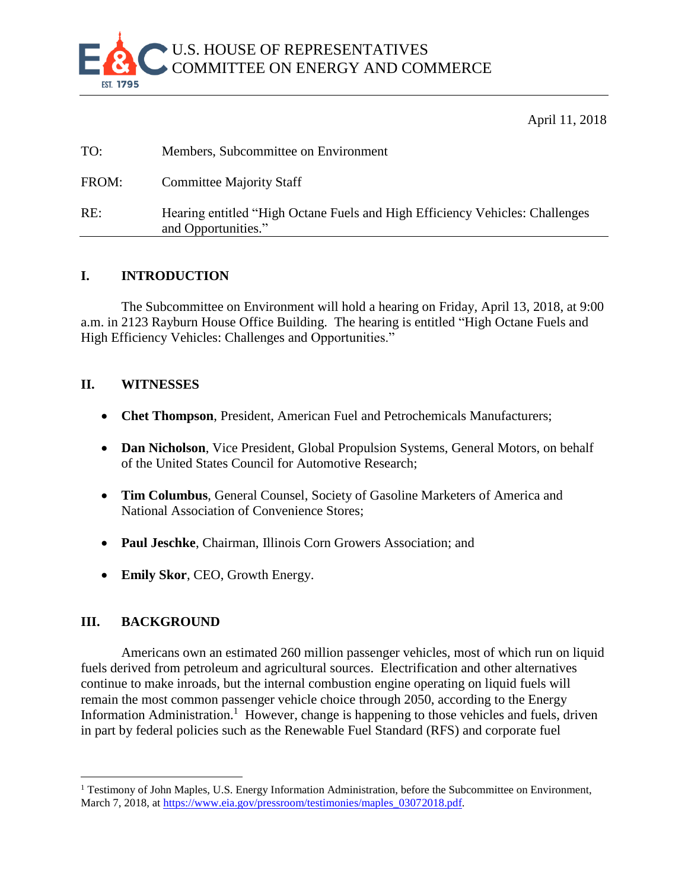

April 11, 2018

| TO:   | Members, Subcommittee on Environment                                                                |
|-------|-----------------------------------------------------------------------------------------------------|
| FROM: | <b>Committee Majority Staff</b>                                                                     |
| RE:   | Hearing entitled "High Octane Fuels and High Efficiency Vehicles: Challenges<br>and Opportunities." |

## **I. INTRODUCTION**

The Subcommittee on Environment will hold a hearing on Friday, April 13, 2018, at 9:00 a.m. in 2123 Rayburn House Office Building. The hearing is entitled "High Octane Fuels and High Efficiency Vehicles: Challenges and Opportunities."

## **II. WITNESSES**

- **Chet Thompson**, President, American Fuel and Petrochemicals Manufacturers;
- **Dan Nicholson**, Vice President, Global Propulsion Systems, General Motors, on behalf of the United States Council for Automotive Research;
- **Tim Columbus**, General Counsel, Society of Gasoline Marketers of America and National Association of Convenience Stores;
- **Paul Jeschke**, Chairman, Illinois Corn Growers Association; and
- **Emily Skor**, CEO, Growth Energy.

# **III. BACKGROUND**

 $\overline{a}$ 

Americans own an estimated 260 million passenger vehicles, most of which run on liquid fuels derived from petroleum and agricultural sources. Electrification and other alternatives continue to make inroads, but the internal combustion engine operating on liquid fuels will remain the most common passenger vehicle choice through 2050, according to the Energy Information Administration.<sup>1</sup> However, change is happening to those vehicles and fuels, driven in part by federal policies such as the Renewable Fuel Standard (RFS) and corporate fuel

<sup>&</sup>lt;sup>1</sup> Testimony of John Maples, U.S. Energy Information Administration, before the Subcommittee on Environment, March 7, 2018, at [https://www.eia.gov/pressroom/testimonies/maples\\_03072018.pdf.](https://www.eia.gov/pressroom/testimonies/maples_03072018.pdf)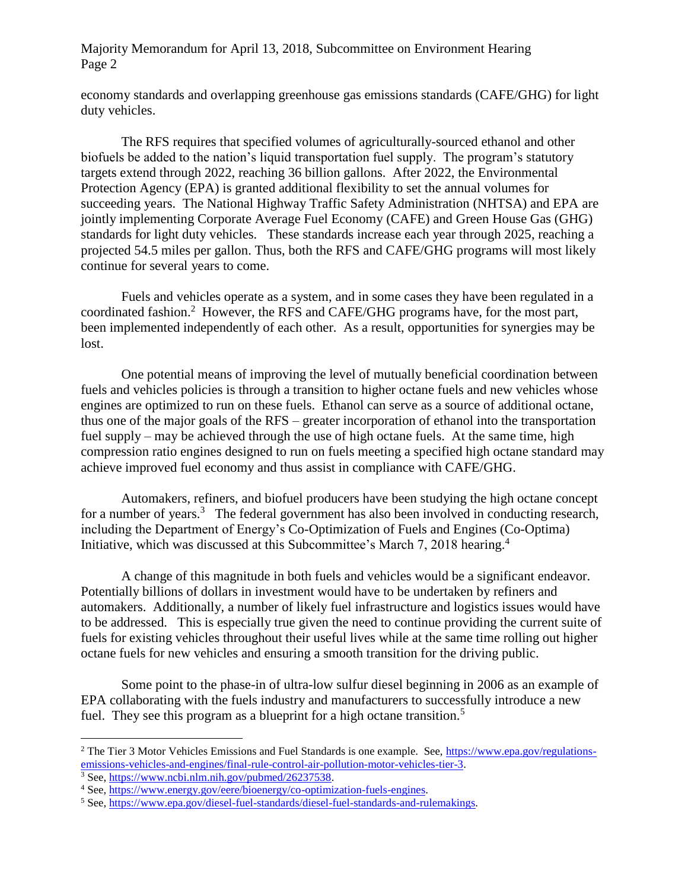#### Majority Memorandum for April 13, 2018, Subcommittee on Environment Hearing Page 2

economy standards and overlapping greenhouse gas emissions standards (CAFE/GHG) for light duty vehicles.

The RFS requires that specified volumes of agriculturally-sourced ethanol and other biofuels be added to the nation's liquid transportation fuel supply. The program's statutory targets extend through 2022, reaching 36 billion gallons. After 2022, the Environmental Protection Agency (EPA) is granted additional flexibility to set the annual volumes for succeeding years. The National Highway Traffic Safety Administration (NHTSA) and EPA are jointly implementing Corporate Average Fuel Economy (CAFE) and Green House Gas (GHG) standards for light duty vehicles. These standards increase each year through 2025, reaching a projected 54.5 miles per gallon. Thus, both the RFS and CAFE/GHG programs will most likely continue for several years to come.

Fuels and vehicles operate as a system, and in some cases they have been regulated in a coordinated fashion.<sup>2</sup> However, the RFS and CAFE/GHG programs have, for the most part, been implemented independently of each other. As a result, opportunities for synergies may be lost.

One potential means of improving the level of mutually beneficial coordination between fuels and vehicles policies is through a transition to higher octane fuels and new vehicles whose engines are optimized to run on these fuels. Ethanol can serve as a source of additional octane, thus one of the major goals of the RFS – greater incorporation of ethanol into the transportation fuel supply – may be achieved through the use of high octane fuels. At the same time, high compression ratio engines designed to run on fuels meeting a specified high octane standard may achieve improved fuel economy and thus assist in compliance with CAFE/GHG.

Automakers, refiners, and biofuel producers have been studying the high octane concept for a number of years.<sup>3</sup> The federal government has also been involved in conducting research, including the Department of Energy's Co-Optimization of Fuels and Engines (Co-Optima) Initiative, which was discussed at this Subcommittee's March 7, 2018 hearing.<sup>4</sup>

A change of this magnitude in both fuels and vehicles would be a significant endeavor. Potentially billions of dollars in investment would have to be undertaken by refiners and automakers. Additionally, a number of likely fuel infrastructure and logistics issues would have to be addressed. This is especially true given the need to continue providing the current suite of fuels for existing vehicles throughout their useful lives while at the same time rolling out higher octane fuels for new vehicles and ensuring a smooth transition for the driving public.

Some point to the phase-in of ultra-low sulfur diesel beginning in 2006 as an example of EPA collaborating with the fuels industry and manufacturers to successfully introduce a new fuel. They see this program as a blueprint for a high octane transition.<sup>5</sup>

 $\overline{a}$ 

<sup>&</sup>lt;sup>2</sup> The Tier 3 Motor Vehicles Emissions and Fuel Standards is one example. See, [https://www.epa.gov/regulations](https://www.epa.gov/regulations-emissions-vehicles-and-engines/final-rule-control-air-pollution-motor-vehicles-tier-3)[emissions-vehicles-and-engines/final-rule-control-air-pollution-motor-vehicles-tier-3.](https://www.epa.gov/regulations-emissions-vehicles-and-engines/final-rule-control-air-pollution-motor-vehicles-tier-3)

 $3$  See, [https://www.ncbi.nlm.nih.gov/pubmed/26237538.](https://www.ncbi.nlm.nih.gov/pubmed/26237538)

<sup>&</sup>lt;sup>4</sup> See, [https://www.energy.gov/eere/bioenergy/co-optimization-fuels-engines.](https://www.energy.gov/eere/bioenergy/co-optimization-fuels-engines)

<sup>5</sup> See, [https://www.epa.gov/diesel-fuel-standards/diesel-fuel-standards-and-rulemakings.](https://www.epa.gov/diesel-fuel-standards/diesel-fuel-standards-and-rulemakings)